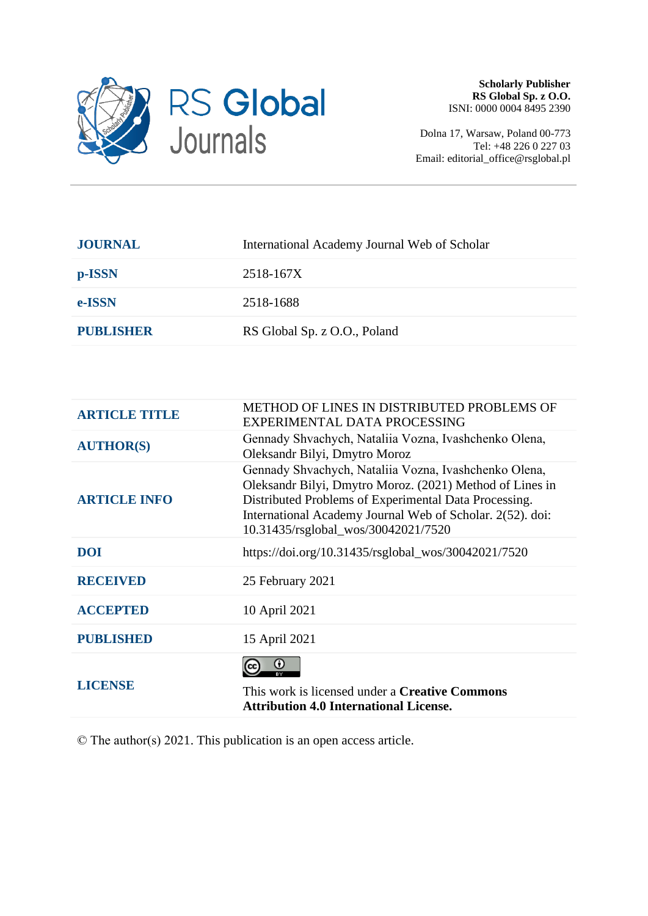

Dolna 17, Warsaw, Poland 00-773 Tel: +48 226 0 227 03 Email: editorial\_office@rsglobal.pl

| International Academy Journal Web of Scholar |
|----------------------------------------------|
| 2518-167X                                    |
| 2518-1688                                    |
| RS Global Sp. z O.O., Poland                 |
|                                              |

| <b>ARTICLE TITLE</b> | <b>METHOD OF LINES IN DISTRIBUTED PROBLEMS OF</b><br>EXPERIMENTAL DATA PROCESSING                                                                                                                                                                                              |
|----------------------|--------------------------------------------------------------------------------------------------------------------------------------------------------------------------------------------------------------------------------------------------------------------------------|
| <b>AUTHOR(S)</b>     | Gennady Shvachych, Nataliia Vozna, Ivashchenko Olena,<br>Oleksandr Bilyi, Dmytro Moroz                                                                                                                                                                                         |
| <b>ARTICLE INFO</b>  | Gennady Shvachych, Nataliia Vozna, Ivashchenko Olena,<br>Oleksandr Bilyi, Dmytro Moroz. (2021) Method of Lines in<br>Distributed Problems of Experimental Data Processing.<br>International Academy Journal Web of Scholar. 2(52). doi:<br>10.31435/rsglobal_wos/30042021/7520 |
| <b>DOI</b>           | https://doi.org/10.31435/rsglobal_wos/30042021/7520                                                                                                                                                                                                                            |
| <b>RECEIVED</b>      | 25 February 2021                                                                                                                                                                                                                                                               |
| <b>ACCEPTED</b>      | 10 April 2021                                                                                                                                                                                                                                                                  |
| <b>PUBLISHED</b>     | 15 April 2021                                                                                                                                                                                                                                                                  |
| <b>LICENSE</b>       | $_{\odot}$<br>RY<br>This work is licensed under a <b>Creative Commons</b><br><b>Attribution 4.0 International License.</b>                                                                                                                                                     |

© The author(s) 2021. This publication is an open access article.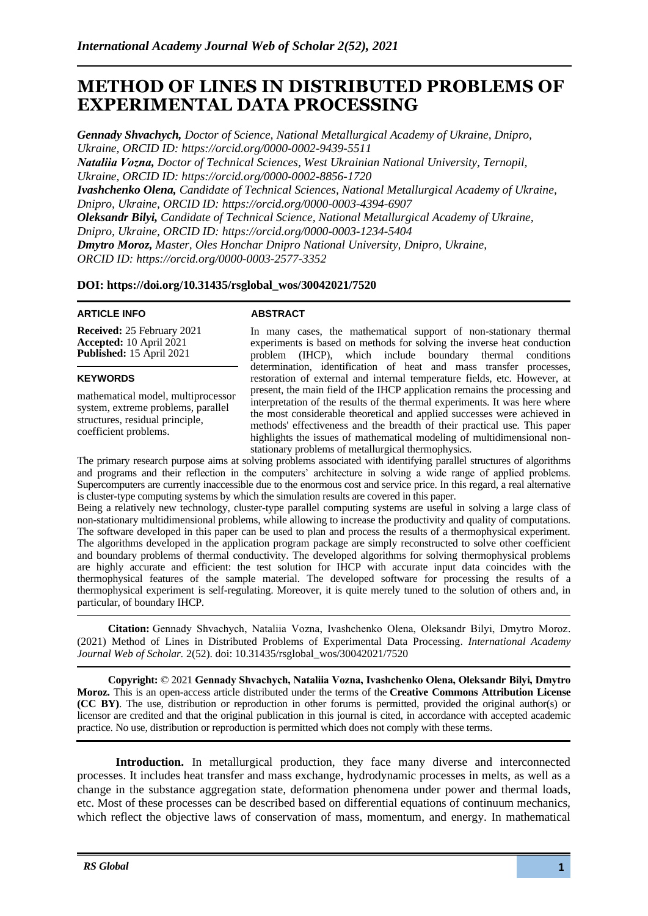# **METHOD OF LINES IN DISTRIBUTED PROBLEMS OF EXPERIMENTAL DATA PROCESSING**

*Gennady Shvachych, Doctor of Science, National Metallurgical Academy of Ukraine, Dnipro, Ukraine, ORCID ID:<https://orcid.org/0000-0002-9439-5511> Nataliіa Vozna, Doctor of Technical Sciences, West Ukrainian National University, Ternopil, Ukraine, ORCID ID: [https://orcid.org/0000-0002-8856-1720](https://orcid.org/0000-0001-7023-1857) Ivashchenko Olena, Candidate of Technical Sciences, National Metallurgical Academy of Ukraine, Dnipro, Ukraine, ORCID ID: [https://orcid.org/0000-0003-4394-6907](https://orcid.org/0000-0002-9513-9659) Oleksandr Bilyi, Candidate of Technical Science, National Metallurgical Academy of Ukraine, Dnipro, Ukraine, ORCID ID:<https://orcid.org/0000-0003-1234-5404> Dmytro Moroz, Master, Oles Honchar Dnipro National University, Dnipro, Ukraine, ORCID ID: [https://orcid.org/0000-0003-2577-3](https://orcid.org/0000-0003-2577-)352*

## **DOI: https://doi.org/10.31435/rsglobal\_wos/30042021/7520**

#### **ARTICLE INFO**

**Received:** 25 February 2021 **Accepted:** 10 April 2021 **Published:** 15 April 2021

### **KEYWORDS**

mathematical model, multiprocessor system, extreme problems, parallel structures, residual principle, coefficient problems.

### **ABSTRACT**

In many cases, the mathematical support of non-stationary thermal experiments is based on methods for solving the inverse heat conduction problem (IHCP), which include boundary thermal conditions determination, identification of heat and mass transfer processes, restoration of external and internal temperature fields, etc. However, at present, the main field of the IHCP application remains the processing and interpretation of the results of the thermal experiments. It was here where the most considerable theoretical and applied successes were achieved in methods' effectiveness and the breadth of their practical use. This paper highlights the issues of mathematical modeling of multidimensional nonstationary problems of metallurgical thermophysics.

The primary research purpose aims at solving problems associated with identifying parallel structures of algorithms and programs and their reflection in the computers' architecture in solving a wide range of applied problems. Supercomputers are currently inaccessible due to the enormous cost and service price. In this regard, a real alternative is cluster-type computing systems by which the simulation results are covered in this paper.

Being a relatively new technology, cluster-type parallel computing systems are useful in solving a large class of non-stationary multidimensional problems, while allowing to increase the productivity and quality of computations. The software developed in this paper can be used to plan and process the results of a thermophysical experiment. The algorithms developed in the application program package are simply reconstructed to solve other coefficient and boundary problems of thermal conductivity. The developed algorithms for solving thermophysical problems are highly accurate and efficient: the test solution for IHCP with accurate input data coincides with the thermophysical features of the sample material. The developed software for processing the results of a thermophysical experiment is self-regulating. Moreover, it is quite merely tuned to the solution of others and, in particular, of boundary IHCP.

**Citation:** Gennady Shvachych, Nataliіa Vozna, Ivashchenko Olena, Oleksandr Bilyi, Dmytro Moroz. (2021) Method of Lines in Distributed Problems of Experimental Data Processing. *International Academy Journal Web of Scholar.* 2(52). doi: 10.31435/rsglobal\_wos/30042021/7520

**Copyright:** © 2021 **Gennady Shvachych, Nataliіa Vozna, Ivashchenko Olena, Oleksandr Bilyi, Dmytro Moroz.** This is an open-access article distributed under the terms of the **Creative Commons Attribution License (CC BY)**. The use, distribution or reproduction in other forums is permitted, provided the original author(s) or licensor are credited and that the original publication in this journal is cited, in accordance with accepted academic practice. No use, distribution or reproduction is permitted which does not comply with these terms.

**Introduction.** In metallurgical production, they face many diverse and interconnected processes. It includes heat transfer and mass exchange, hydrodynamic processes in melts, as well as a change in the substance aggregation state, deformation phenomena under power and thermal loads, etc. Most of these processes can be described based on differential equations of continuum mechanics, which reflect the objective laws of conservation of mass, momentum, and energy. In mathematical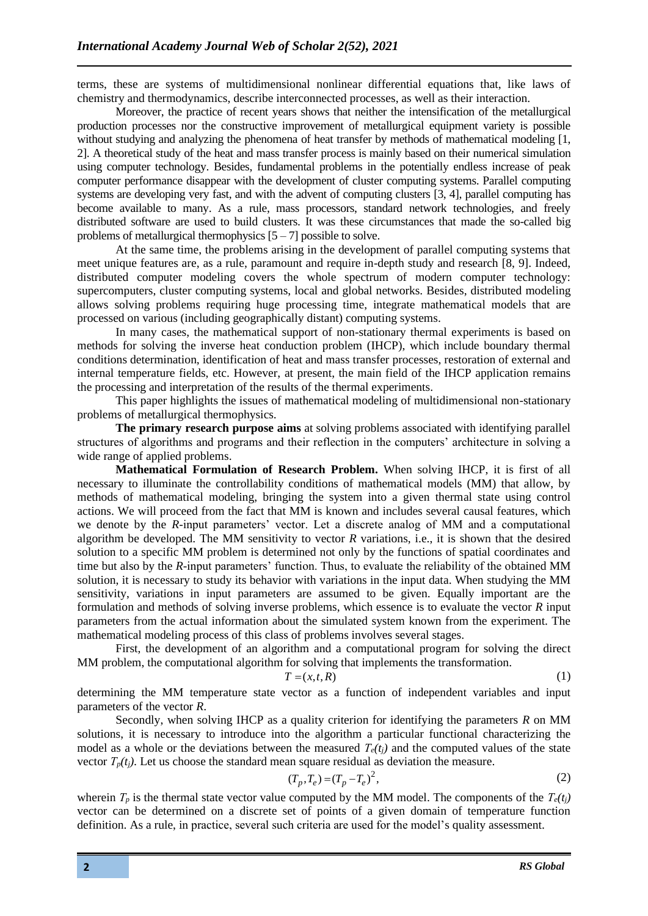terms, these are systems of multidimensional nonlinear differential equations that, like laws of chemistry and thermodynamics, describe interconnected processes, as well as their interaction.

Moreover, the practice of recent years shows that neither the intensification of the metallurgical production processes nor the constructive improvement of metallurgical equipment variety is possible without studying and analyzing the phenomena of heat transfer by methods of mathematical modeling [1, 2]. A theoretical study of the heat and mass transfer process is mainly based on their numerical simulation using computer technology. Besides, fundamental problems in the potentially endless increase of peak computer performance disappear with the development of cluster computing systems. Parallel computing systems are developing very fast, and with the advent of computing clusters [3, 4], parallel computing has become available to many. As a rule, mass processors, standard network technologies, and freely distributed software are used to build clusters. It was these circumstances that made the so-called big problems of metallurgical thermophysics  $[5 - 7]$  possible to solve.

At the same time, the problems arising in the development of parallel computing systems that meet unique features are, as a rule, paramount and require in-depth study and research [8, 9]. Indeed, distributed computer modeling covers the whole spectrum of modern computer technology: supercomputers, cluster computing systems, local and global networks. Besides, distributed modeling allows solving problems requiring huge processing time, integrate mathematical models that are processed on various (including geographically distant) computing systems.

In many cases, the mathematical support of non-stationary thermal experiments is based on methods for solving the inverse heat conduction problem (IHCP), which include boundary thermal conditions determination, identification of heat and mass transfer processes, restoration of external and internal temperature fields, etc. However, at present, the main field of the IHCP application remains the processing and interpretation of the results of the thermal experiments.

This paper highlights the issues of mathematical modeling of multidimensional non-stationary problems of metallurgical thermophysics.

**The primary research purpose aims** at solving problems associated with identifying parallel structures of algorithms and programs and their reflection in the computers' architecture in solving a wide range of applied problems.

**Mathematical Formulation of Research Problem.** When solving IHCP, it is first of all necessary to illuminate the controllability conditions of mathematical models (MM) that allow, by methods of mathematical modeling, bringing the system into a given thermal state using control actions. We will proceed from the fact that MM is known and includes several causal features, which we denote by the *R*-input parameters' vector. Let a discrete analog of MM and a computational algorithm be developed. The MM sensitivity to vector *R* variations, i.e., it is shown that the desired solution to a specific MM problem is determined not only by the functions of spatial coordinates and time but also by the *R*-input parameters' function. Thus, to evaluate the reliability of the obtained MM solution, it is necessary to study its behavior with variations in the input data. When studying the MM sensitivity, variations in input parameters are assumed to be given. Equally important are the formulation and methods of solving inverse problems, which essence is to evaluate the vector *R* input parameters from the actual information about the simulated system known from the experiment. The mathematical modeling process of this class of problems involves several stages.

First, the development of an algorithm and a computational program for solving the direct MM problem, the computational algorithm for solving that implements the transformation.

$$
T = (x, t, R) \tag{1}
$$

determining the MM temperature state vector as a function of independent variables and input parameters of the vector *R*.

Secondly, when solving IHCP as a quality criterion for identifying the parameters *R* on MM solutions, it is necessary to introduce into the algorithm a particular functional characterizing the model as a whole or the deviations between the measured  $T_e(t_i)$  and the computed values of the state vector  $T_p(t_i)$ . Let us choose the standard mean square residual as deviation the measure.

$$
(T_p, T_e) = (T_p - T_e)^2,
$$
\n(2)

wherein  $T_p$  is the thermal state vector value computed by the MM model. The components of the  $T_e(t_i)$ vector can be determined on a discrete set of points of a given domain of temperature function definition. As a rule, in practice, several such criteria are used for the model's quality assessment.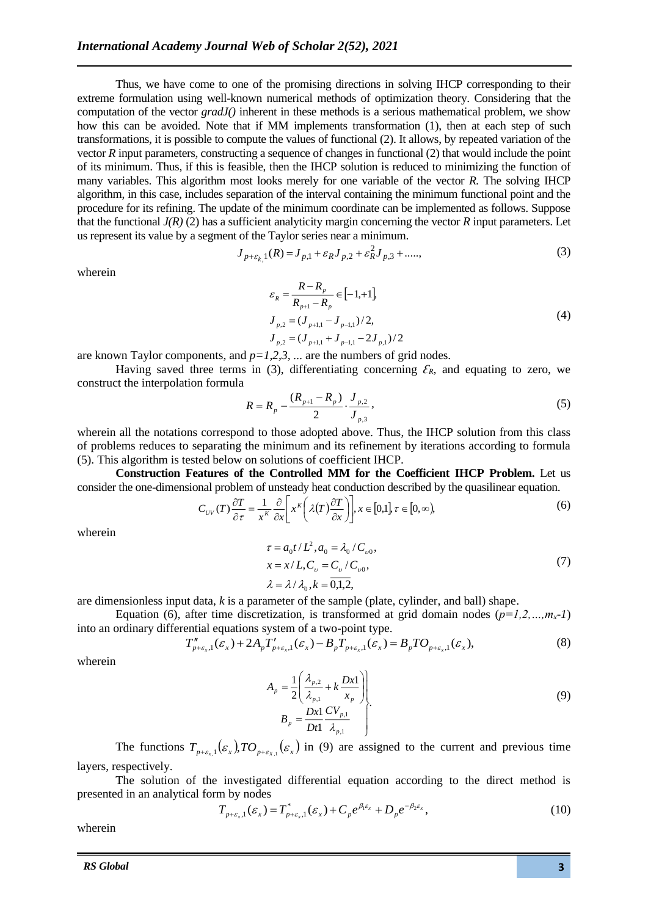Thus, we have come to one of the promising directions in solving IHCP corresponding to their extreme formulation using well-known numerical methods of optimization theory. Considering that the computation of the vector *gradJ()* inherent in these methods is a serious mathematical problem, we show how this can be avoided. Note that if MM implements transformation (1), then at each step of such transformations, it is possible to compute the values of functional (2). It allows, by repeated variation of the vector *R* input parameters, constructing a sequence of changes in functional (2) that would include the point of its minimum. Thus, if this is feasible, then the IHCP solution is reduced to minimizing the function of many variables. This algorithm most looks merely for one variable of the vector *R.* The solving IHCP algorithm, in this case, includes separation of the interval containing the minimum functional point and the procedure for its refining. The update of the minimum coordinate can be implemented as follows. Suppose that the functional  $J(R)$  (2) has a sufficient analyticity margin concerning the vector  $R$  input parameters. Let us represent its value by a segment of the Taylor series near a minimum.

$$
J_{p+\varepsilon_{k,1}}(R) = J_{p,1} + \varepsilon_R J_{p,2} + \varepsilon_R^2 J_{p,3} + \dots \tag{3}
$$

wherein

$$
\varepsilon_R = \frac{R - R_p}{R_{p+1} - R_p} \in [-1, +1],
$$
  
\n
$$
J_{p,2} = (J_{p+1,1} - J_{p-1,1})/2,
$$
  
\n
$$
J_{p,2} = (J_{p+1,1} + J_{p-1,1} - 2J_{p,1})/2
$$
\n(4)

are known Taylor components, and  $p=1,2,3, \ldots$  are the numbers of grid nodes.

Having saved three terms in (3), differentiating concerning  $\mathcal{E}_R$ , and equating to zero, we construct the interpolation formula

$$
R = R_p - \frac{(R_{p+1} - R_p)}{2} \cdot \frac{J_{p,2}}{J_{p,3}},
$$
\n(5)

wherein all the notations correspond to those adopted above. Thus, the IHCP solution from this class of problems reduces to separating the minimum and its refinement by iterations according to formula (5). This algorithm is tested below on solutions of coefficient IHCP.

**Construction Features of the Controlled MM for the Coefficient IHCP Problem.** Let us consider the one-dimensional problem of unsteady heat conduction described by the quasilinear equation.

$$
C_{UV}(T)\frac{\partial T}{\partial \tau} = \frac{1}{x^K} \frac{\partial}{\partial x} \left[ x^K \left( \lambda(T) \frac{\partial T}{\partial x} \right) \right], x \in [0,1], \tau \in [0,\infty), \tag{6}
$$

wherein

$$
\tau = a_0 t / L^2, a_0 = \lambda_0 / C_{\nu 0}, \nx = x / L, C_{\nu} = C_{\nu} / C_{\nu 0}, \n\lambda = \lambda / \lambda_0, k = 0, 1, 2,
$$
\n(7)

are dimensionless input data, *k* is a parameter of the sample (plate, cylinder, and ball) shape.

Equation (6), after time discretization, is transformed at grid domain nodes  $(p=1,2,...,m_x-1)$ into an ordinary differential equations system of a two-point type.

$$
T''_{p+\varepsilon_{x},1}(\varepsilon_{x})+2A_{p}T'_{p+\varepsilon_{x},1}(\varepsilon_{x})-B_{p}T_{p+\varepsilon_{x},1}(\varepsilon_{x})=B_{p}T O_{p+\varepsilon_{x},1}(\varepsilon_{x}),
$$
\n(8)

wherein

$$
A_p = \frac{1}{2} \left( \frac{\lambda_{p,2}}{\lambda_{p,1}} + k \frac{Dx1}{x_p} \right)
$$
  
\n
$$
B_p = \frac{Dx1}{Dt1} \frac{CV_{p,1}}{\lambda_{p,1}}
$$
\n(9)

The functions  $T_{p+\varepsilon_{x,1}}(\varepsilon_x)$ ,  $TO_{p+\varepsilon_{x,1}}(\varepsilon_x)$  in (9) are assigned to the current and previous time layers, respectively.

The solution of the investigated differential equation according to the direct method is presented in an analytical form by nodes

$$
T_{p+\varepsilon_{x},1}(\varepsilon_{x}) = T_{p+\varepsilon_{x},1}^{*}(\varepsilon_{x}) + C_{p}e^{\beta_{1}\varepsilon_{x}} + D_{p}e^{-\beta_{2}\varepsilon_{x}},
$$
\n(10)

wherein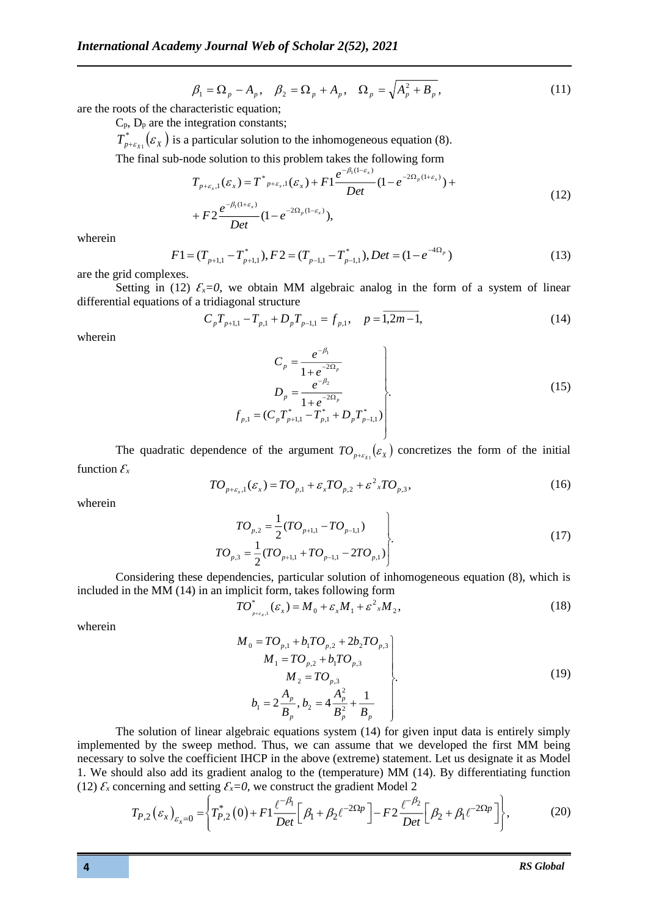$$
\beta_1 = \Omega_p - A_p, \quad \beta_2 = \Omega_p + A_p, \quad \Omega_p = \sqrt{A_p^2 + B_p}, \tag{11}
$$

are the roots of the characteristic equation;

 $C_p$ ,  $D_p$  are the integration constants;

 $T^*_{p+\varepsilon_{X1}}(\varepsilon_{_X})$  $\mathcal{L}_{\epsilon_{X_1}}(\varepsilon_X)$  is a particular solution to the inhomogeneous equation (8).

The final sub-node solution to this problem takes the following form

$$
T_{p+\varepsilon_{x},1}(\varepsilon_{x}) = T^{*}_{p+\varepsilon_{x},1}(\varepsilon_{x}) + F1 \frac{e^{-\beta_{1}(1-\varepsilon_{x})}}{Det} (1 - e^{-2\Omega_{p}(1+\varepsilon_{x})}) +
$$
  
+ 
$$
F2 \frac{e^{-\beta_{1}(1+\varepsilon_{x})}}{Det} (1 - e^{-2\Omega_{p}(1-\varepsilon_{x})}),
$$
 (12)

wherein

$$
F1 = (T_{p+1,1} - T_{p+1,1}^*), F2 = (T_{p-1,1} - T_{p-1,1}^*), Det = (1 - e^{-4\Omega_p})
$$
\n(13)

are the grid complexes.

Setting in (12)  $\mathcal{E}_x = 0$ , we obtain MM algebraic analog in the form of a system of linear differential equations of a tridiagonal structure

$$
C_p T_{p+1,1} - T_{p,1} + D_p T_{p-1,1} = f_{p,1}, \quad p = 1,2m-1,
$$
\n(14)

wherein

$$
C_{p} = \frac{e^{-\beta_{1}}}{1 + e^{-2\Omega_{p}}}
$$
\n
$$
D_{p} = \frac{e^{-\beta_{2}}}{1 + e^{-2\Omega_{p}}}
$$
\n
$$
f_{p,1} = (C_{p}T_{p+1,1}^{*} - T_{p,1}^{*} + D_{p}T_{p-1,1}^{*})
$$
\n(15)

The quadratic dependence of the argument  $TO_{p+\epsilon_{x_1}}(\epsilon_x)$  concretizes the form of the initial function  $\mathcal{E}_x$ 

$$
TO_{p+\varepsilon_x,1}(\varepsilon_x) = TO_{p,1} + \varepsilon_x TO_{p,2} + \varepsilon_{x}^{2} TO_{p,3},
$$
\n(16)

wherein

$$
TO_{p,2} = \frac{1}{2}(TO_{p+1,1} - TO_{p-1,1})
$$
  
\n
$$
TO_{p,3} = \frac{1}{2}(TO_{p+1,1} + TO_{p-1,1} - 2TO_{p,1})
$$
\n(17)

Considering these dependencies, particular solution of inhomogeneous equation (8), which is included in the MM (14) in an implicit form, takes following form

$$
TO_{_{p+\varepsilon_{x},1}}^{*}(\varepsilon_{x}) = M_{0} + \varepsilon_{x}M_{1} + \varepsilon_{x}^{2}M_{2},
$$
\n(18)

wherein

$$
M_0 = TO_{p,1} + b_1 TO_{p,2} + 2b_2 TO_{p,3}
$$
  
\n
$$
M_1 = TO_{p,2} + b_1 TO_{p,3}
$$
  
\n
$$
M_2 = TO_{p,3}
$$
  
\n
$$
b_1 = 2\frac{A_p}{B_p}, b_2 = 4\frac{A_p^2}{B_p^2} + \frac{1}{B_p}
$$
 (19)

The solution of linear algebraic equations system (14) for given input data is entirely simply implemented by the sweep method. Thus, we can assume that we developed the first MM being necessary to solve the coefficient IHCP in the above (extreme) statement. Let us designate it as Model 1. We should also add its gradient analog to the (temperature) MM (14). By differentiating function (12)  $\mathcal{E}_x$  concerning and setting  $\mathcal{E}_x = 0$ , we construct the gradient Model 2

$$
T_{P,2}(\varepsilon_x)_{\varepsilon_x=0} = \left\{ T_{P,2}^*(0) + F1 \frac{\ell^{-\beta_1}}{Det} \left[ \beta_1 + \beta_2 \ell^{-2\Omega p} \right] - F2 \frac{\ell^{-\beta_2}}{Det} \left[ \beta_2 + \beta_1 \ell^{-2\Omega p} \right] \right\},
$$
(20)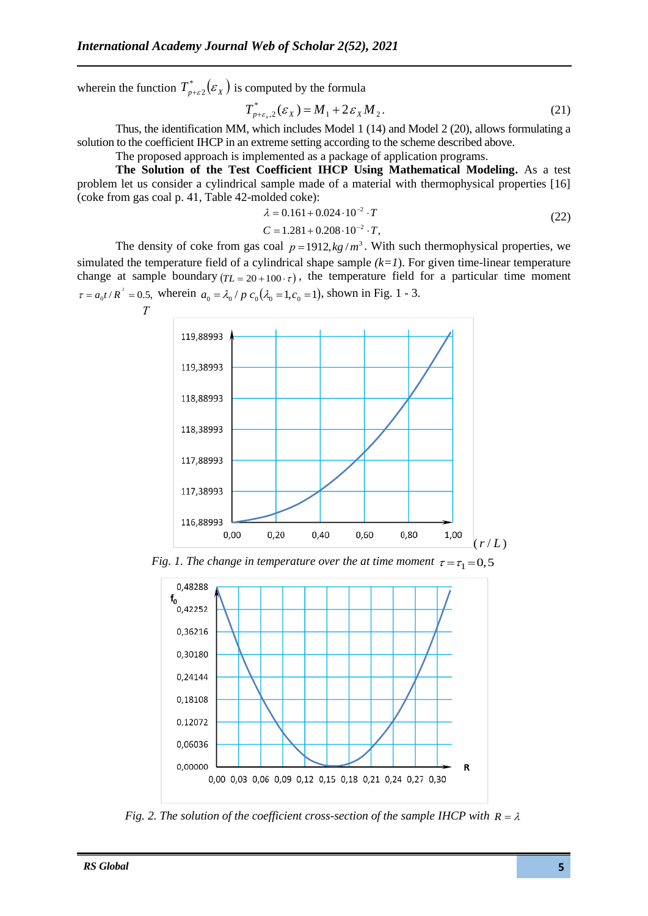wherein the function  $T^*_{p+\varepsilon 2}(\varepsilon_\chi)$  is computed by the formula

$$
T_{p+\varepsilon_x,2}^*(\varepsilon_X) = M_1 + 2\varepsilon_X M_2.
$$
 (21)

Thus, the identification MM, which includes Model 1 (14) and Model 2 (20), allows formulating a solution to the coefficient IHCP in an extreme setting according to the scheme described above.

The proposed approach is implemented as a package of application programs.

**The Solution of the Test Coefficient IHCP Using Mathematical Modeling.** As a test problem let us consider a cylindrical sample made of a material with thermophysical properties [16] (coke from gas coal p. 41, Table 42-molded coke):

$$
\lambda = 0.161 + 0.024 \cdot 10^{-2} \cdot T \tag{22}
$$

$$
C = 1.281 + 0.208 \cdot 10^{-2} \cdot T,
$$

The density of coke from gas coal  $p = 1912$ ,  $kg/m<sup>3</sup>$ . With such thermophysical properties, we simulated the temperature field of a cylindrical shape sample  $(k=1)$ . For given time-linear temperature change at sample boundary  $(T_L = 20 + 100 \cdot \tau)$ , the temperature field for a particular time moment  $\tau = a_0 t/R^2 = 0.5$ , wherein  $a_0 = \lambda_0 / p c_0(\lambda_0 = 1, c_0 = 1)$ , shown in Fig. 1 - 3.



*Fig. 1. The change in temperature over the at time moment*  $\tau = \tau_1 = 0, 5$ 



*Fig. 2. The solution of the coefficient cross-section of the sample IHCP with*  $R = \lambda$ 

 *Т*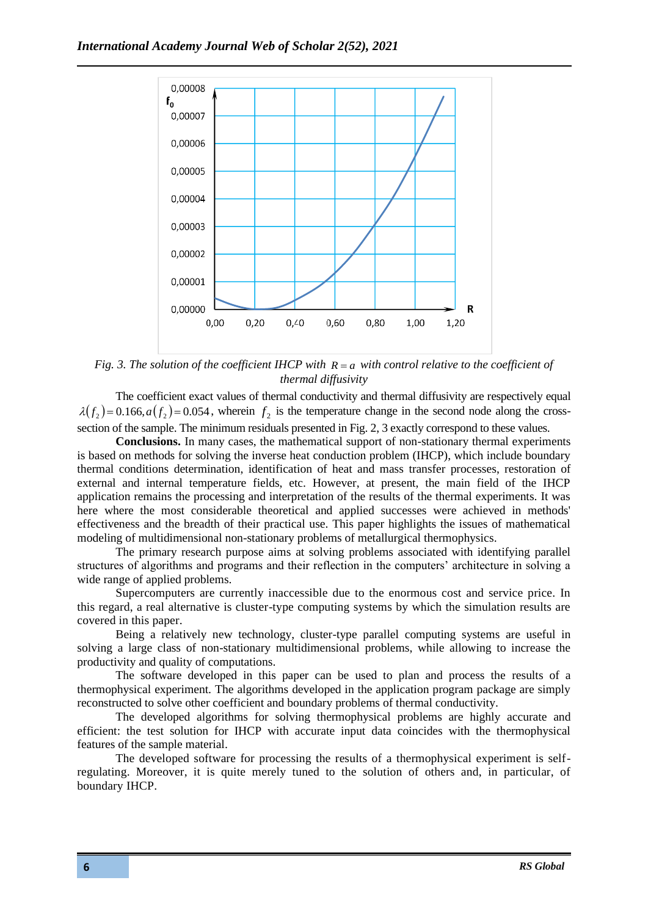

*Fig. 3. The solution of the coefficient IHCP with*  $R = a$  *with control relative to the coefficient of thermal diffusivity*

The coefficient exact values of thermal conductivity and thermal diffusivity are respectively equal  $\lambda(f_2)$  = 0.166, $a(f_2)$  = 0.054, wherein  $f_2$  is the temperature change in the second node along the crosssection of the sample. The minimum residuals presented in Fig. 2, 3 exactly correspond to these values.

**Conclusions.** In many cases, the mathematical support of non-stationary thermal experiments is based on methods for solving the inverse heat conduction problem (IHCP), which include boundary thermal conditions determination, identification of heat and mass transfer processes, restoration of external and internal temperature fields, etc. However, at present, the main field of the IHCP application remains the processing and interpretation of the results of the thermal experiments. It was here where the most considerable theoretical and applied successes were achieved in methods' effectiveness and the breadth of their practical use. This paper highlights the issues of mathematical modeling of multidimensional non-stationary problems of metallurgical thermophysics.

The primary research purpose aims at solving problems associated with identifying parallel structures of algorithms and programs and their reflection in the computers' architecture in solving a wide range of applied problems.

Supercomputers are currently inaccessible due to the enormous cost and service price. In this regard, a real alternative is cluster-type computing systems by which the simulation results are covered in this paper.

Being a relatively new technology, cluster-type parallel computing systems are useful in solving a large class of non-stationary multidimensional problems, while allowing to increase the productivity and quality of computations.

The software developed in this paper can be used to plan and process the results of a thermophysical experiment. The algorithms developed in the application program package are simply reconstructed to solve other coefficient and boundary problems of thermal conductivity.

The developed algorithms for solving thermophysical problems are highly accurate and efficient: the test solution for IHCP with accurate input data coincides with the thermophysical features of the sample material.

The developed software for processing the results of a thermophysical experiment is selfregulating. Moreover, it is quite merely tuned to the solution of others and, in particular, of boundary IHCP.